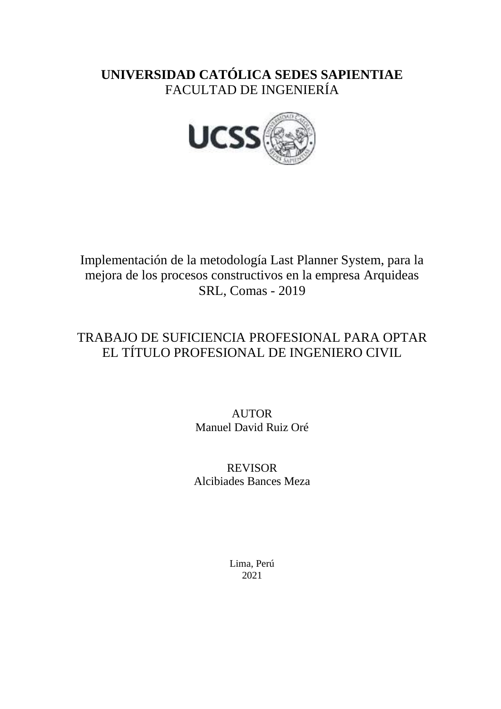## **UNIVERSIDAD CATÓLICA SEDES SAPIENTIAE** FACULTAD DE INGENIERÍA



Implementación de la metodología Last Planner System, para la mejora de los procesos constructivos en la empresa Arquideas SRL, Comas - 2019

## TRABAJO DE SUFICIENCIA PROFESIONAL PARA OPTAR EL TÍTULO PROFESIONAL DE INGENIERO CIVIL

AUTOR Manuel David Ruiz Oré

REVISOR Alcibiades Bances Meza

> Lima, Perú 2021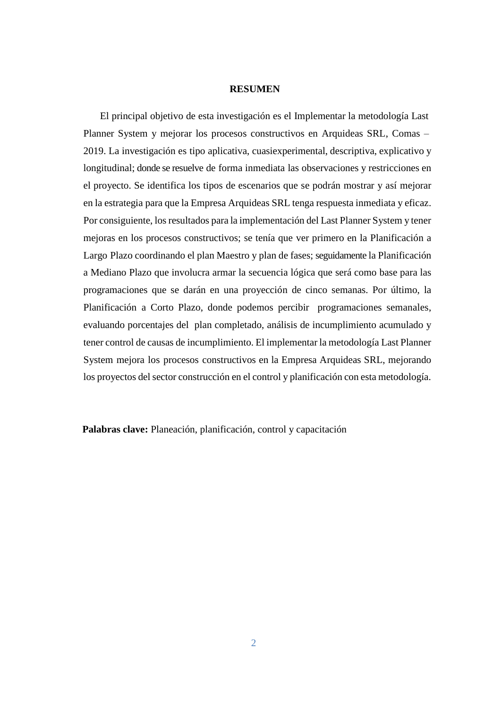## **RESUMEN**

El principal objetivo de esta investigación es el Implementar la metodología Last Planner System y mejorar los procesos constructivos en Arquideas SRL, Comas – 2019. La investigación es tipo aplicativa, cuasiexperimental, descriptiva, explicativo y longitudinal; donde se resuelve de forma inmediata las observaciones y restricciones en el proyecto. Se identifica los tipos de escenarios que se podrán mostrar y así mejorar en la estrategia para que la Empresa Arquideas SRL tenga respuesta inmediata y eficaz. Por consiguiente, los resultados para la implementación del Last Planner System y tener mejoras en los procesos constructivos; se tenía que ver primero en la Planificación a Largo Plazo coordinando el plan Maestro y plan de fases; seguidamente la Planificación a Mediano Plazo que involucra armar la secuencia lógica que será como base para las programaciones que se darán en una proyección de cinco semanas. Por último, la Planificación a Corto Plazo, donde podemos percibir programaciones semanales, evaluando porcentajes del plan completado, análisis de incumplimiento acumulado y tener control de causas de incumplimiento. El implementar la metodología Last Planner System mejora los procesos constructivos en la Empresa Arquideas SRL, mejorando los proyectos del sector construcción en el control y planificación con esta metodología.

**Palabras clave:** Planeación, planificación, control y capacitación